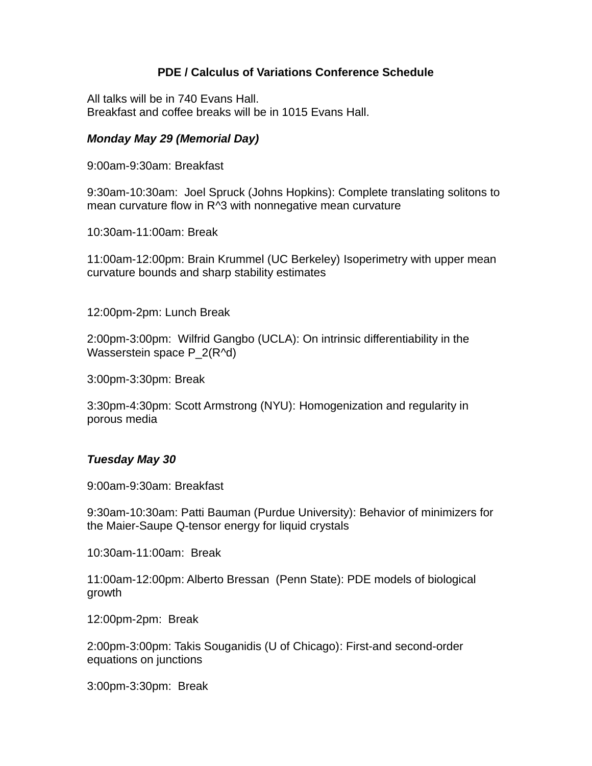# **PDE / Calculus of Variations Conference Schedule**

All talks will be in 740 Evans Hall. Breakfast and coffee breaks will be in 1015 Evans Hall.

# *Monday May 29 (Memorial Day)*

9:00am-9:30am: Breakfast

9:30am-10:30am: Joel Spruck (Johns Hopkins): Complete translating solitons to mean curvature flow in R^3 with nonnegative mean curvature

10:30am-11:00am: Break

11:00am-12:00pm: Brain Krummel (UC Berkeley) Isoperimetry with upper mean curvature bounds and sharp stability estimates

12:00pm-2pm: Lunch Break

2:00pm-3:00pm: Wilfrid Gangbo (UCLA): On intrinsic differentiability in the Wasserstein space P 2(R^d)

3:00pm-3:30pm: Break

3:30pm-4:30pm: Scott Armstrong (NYU): Homogenization and regularity in porous media

### *Tuesday May 30*

9:00am-9:30am: Breakfast

9:30am-10:30am: Patti Bauman (Purdue University): Behavior of minimizers for the Maier-Saupe Q-tensor energy for liquid crystals

10:30am-11:00am: Break

11:00am-12:00pm: Alberto Bressan (Penn State): PDE models of biological growth

12:00pm-2pm: Break

2:00pm-3:00pm: Takis Souganidis (U of Chicago): First-and second-order equations on junctions

3:00pm-3:30pm: Break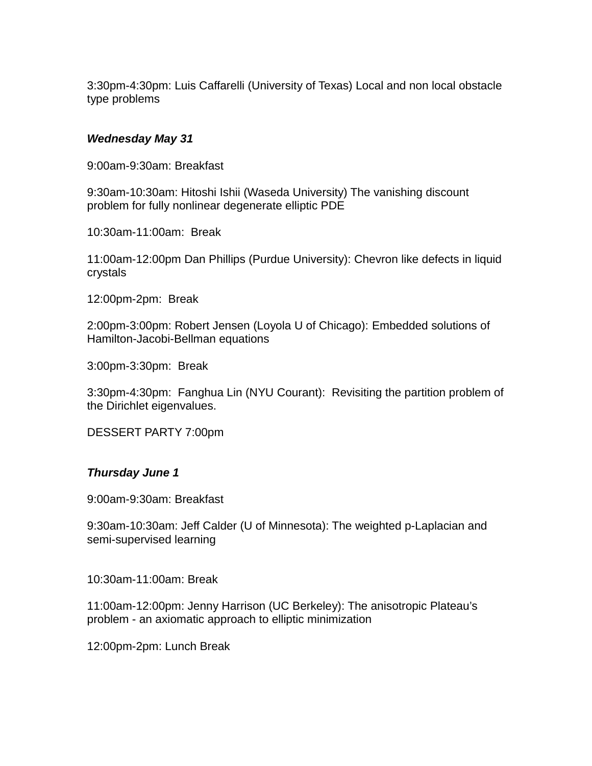3:30pm-4:30pm: Luis Caffarelli (University of Texas) Local and non local obstacle type problems

### *Wednesday May 31*

9:00am-9:30am: Breakfast

9:30am-10:30am: Hitoshi Ishii (Waseda University) The vanishing discount problem for fully nonlinear degenerate elliptic PDE

10:30am-11:00am: Break

11:00am-12:00pm Dan Phillips (Purdue University): Chevron like defects in liquid crystals

12:00pm-2pm: Break

2:00pm-3:00pm: Robert Jensen (Loyola U of Chicago): Embedded solutions of Hamilton-Jacobi-Bellman equations

3:00pm-3:30pm: Break

3:30pm-4:30pm: Fanghua Lin (NYU Courant): Revisiting the partition problem of the Dirichlet eigenvalues.

DESSERT PARTY 7:00pm

### *Thursday June 1*

9:00am-9:30am: Breakfast

9:30am-10:30am: Jeff Calder (U of Minnesota): The weighted p-Laplacian and semi-supervised learning

10:30am-11:00am: Break

11:00am-12:00pm: Jenny Harrison (UC Berkeley): The anisotropic Plateau's problem - an axiomatic approach to elliptic minimization

12:00pm-2pm: Lunch Break